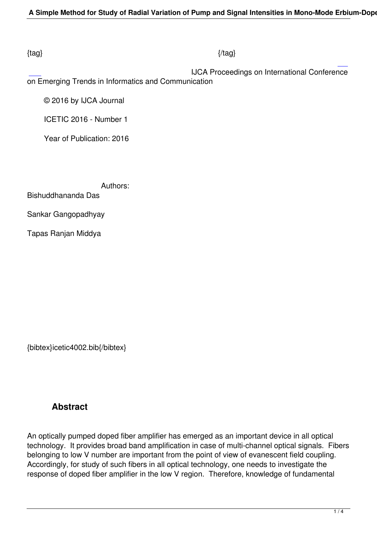#### $\{tag\}$

 IJCA Proceedings on International Conference on Emerging Trends in Informatics and Communication

© 2016 by IJCA Journal

ICETIC 2016 - Number 1

Year of Publication: 2016

Authors:

Bishuddhananda Das

Sankar Gangopadhyay

Tapas Ranjan Middya

{bibtex}icetic4002.bib{/bibtex}

# **Abstract**

An optically pumped doped fiber amplifier has emerged as an important device in all optical technology. It provides broad band amplification in case of multi-channel optical signals. Fibers belonging to low V number are important from the point of view of evanescent field coupling. Accordingly, for study of such fibers in all optical technology, one needs to investigate the response of doped fiber amplifier in the low V region. Therefore, knowledge of fundamental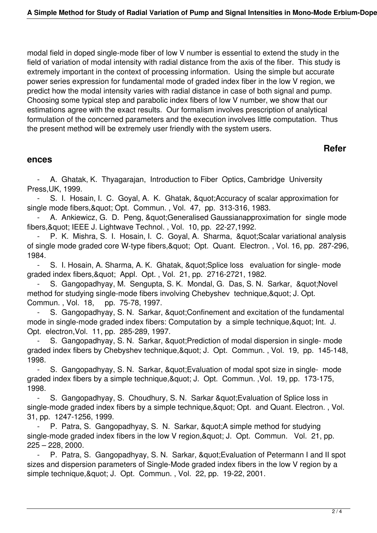modal field in doped single-mode fiber of low V number is essential to extend the study in the field of variation of modal intensity with radial distance from the axis of the fiber. This study is extremely important in the context of processing information. Using the simple but accurate power series expression for fundamental mode of graded index fiber in the low V region, we predict how the modal intensity varies with radial distance in case of both signal and pump. Choosing some typical step and parabolic index fibers of low V number, we show that our estimations agree with the exact results. Our formalism involves prescription of analytical formulation of the concerned parameters and the execution involves little computation. Thus the present method will be extremely user friendly with the system users.

## **Refer**

#### **ences**

A. Ghatak, K. Thyagarajan, Introduction to Fiber Optics, Cambridge University Press,UK, 1999.

S. I. Hosain, I. C. Goyal, A. K. Ghatak, & quot; Accuracy of scalar approximation for single mode fibers, & quot; Opt. Commun., Vol. 47, pp. 313-316, 1983.

A. Ankiewicz, G. D. Peng, & quot; Generalised Gaussianapproximation for single mode fibers, & quot; IEEE J. Lightwave Technol., Vol. 10, pp. 22-27, 1992.

P. K. Mishra, S. I. Hosain, I. C. Goyal, A. Sharma, " Scalar variational analysis of single mode graded core W-type fibers, & quot; Opt. Quant. Electron., Vol. 16, pp. 287-296, 1984.

- S. I. Hosain, A. Sharma, A. K. Ghatak, & quot; Splice loss evaluation for single-mode graded index fibers, & quot; Appl. Opt., Vol. 21, pp. 2716-2721, 1982.

S. Gangopadhyay, M. Sengupta, S. K. Mondal, G. Das, S. N. Sarkar, " Novel method for studying single-mode fibers involving Chebyshev technique, & quot; J. Opt. Commun. , Vol. 18, pp. 75-78, 1997.

S. Gangopadhyay, S. N. Sarkar, " Confinement and excitation of the fundamental mode in single-mode graded index fibers: Computation by a simple technique, & quot; Int. J. Opt. electron,Vol. 11, pp. 285-289, 1997.

S. Gangopadhyay, S. N. Sarkar, " Prediction of modal dispersion in single- mode graded index fibers by Chebyshev technique, & quot: J. Opt. Commun., Vol. 19, pp. 145-148, 1998.

S. Gangopadhyay, S. N. Sarkar, & quot; Evaluation of modal spot size in single- mode graded index fibers by a simple technique, & quot; J. Opt. Commun. , Vol. 19, pp. 173-175, 1998.

S. Gangopadhyay, S. Choudhury, S. N. Sarkar & quot: Evaluation of Splice loss in single-mode graded index fibers by a simple technique, & quot; Opt. and Quant. Electron., Vol. 31, pp. 1247-1256, 1999.

P. Patra, S. Gangopadhyay, S. N. Sarkar, & quot; A simple method for studying single-mode graded index fibers in the low V region, & quot; J. Opt. Commun. Vol. 21, pp. 225 – 228, 2000.

P. Patra, S. Gangopadhyay, S. N. Sarkar, " Evaluation of Petermann I and II spot sizes and dispersion parameters of Single-Mode graded index fibers in the low V region by a simple technique, & quot; J. Opt. Commun., Vol. 22, pp. 19-22, 2001.